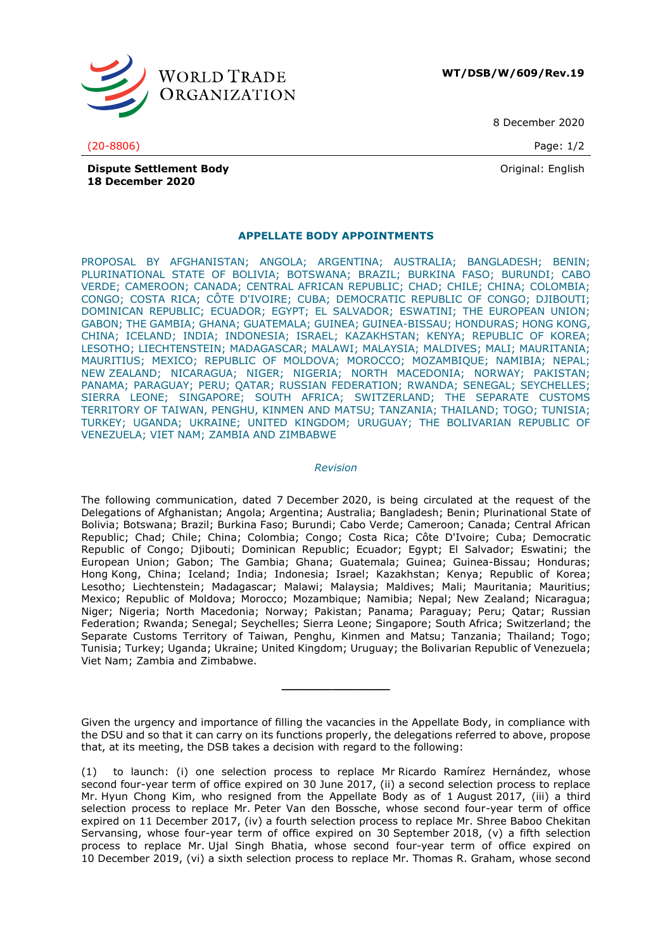

**WT/DSB/W/609/Rev.19**

8 December 2020

(20-8806) Page: 1/2

Original: English

**Dispute Settlement Body 18 December 2020**

## **APPELLATE BODY APPOINTMENTS**

PROPOSAL BY AFGHANISTAN; ANGOLA; ARGENTINA; AUSTRALIA; BANGLADESH; BENIN; PLURINATIONAL STATE OF BOLIVIA; BOTSWANA; BRAZIL; BURKINA FASO; BURUNDI; CABO VERDE; CAMEROON; CANADA; CENTRAL AFRICAN REPUBLIC; CHAD; CHILE; CHINA; COLOMBIA; CONGO; COSTA RICA; CÔTE D'IVOIRE; CUBA; DEMOCRATIC REPUBLIC OF CONGO; DJIBOUTI; DOMINICAN REPUBLIC; ECUADOR; EGYPT; EL SALVADOR; ESWATINI; THE EUROPEAN UNION; GABON; THE GAMBIA; GHANA; GUATEMALA; GUINEA; GUINEA-BISSAU; HONDURAS; HONG KONG, CHINA; ICELAND; INDIA; INDONESIA; ISRAEL; KAZAKHSTAN; KENYA; REPUBLIC OF KOREA; LESOTHO; LIECHTENSTEIN; MADAGASCAR; MALAWI; MALAYSIA; MALDIVES; MALI; MAURITANIA; MAURITIUS; MEXICO; REPUBLIC OF MOLDOVA; MOROCCO; MOZAMBIQUE; NAMIBIA; NEPAL; NEW ZEALAND; NICARAGUA; NIGER; NIGERIA; NORTH MACEDONIA; NORWAY; PAKISTAN; PANAMA; PARAGUAY; PERU; QATAR; RUSSIAN FEDERATION; RWANDA; SENEGAL; SEYCHELLES; SIERRA LEONE; SINGAPORE; SOUTH AFRICA; SWITZERLAND; THE SEPARATE CUSTOMS TERRITORY OF TAIWAN, PENGHU, KINMEN AND MATSU; TANZANIA; THAILAND; TOGO; TUNISIA; TURKEY; UGANDA; UKRAINE; UNITED KINGDOM; URUGUAY; THE BOLIVARIAN REPUBLIC OF VENEZUELA; VIET NAM; ZAMBIA AND ZIMBABWE

## *Revision*

The following communication, dated 7 December 2020, is being circulated at the request of the Delegations of Afghanistan; Angola; Argentina; Australia; Bangladesh; Benin; Plurinational State of Bolivia; Botswana; Brazil; Burkina Faso; Burundi; Cabo Verde; Cameroon; Canada; Central African Republic; Chad; Chile; China; Colombia; Congo; Costa Rica; Côte D'Ivoire; Cuba; Democratic Republic of Congo; Djibouti; Dominican Republic; Ecuador; Egypt; El Salvador; Eswatini; the European Union; Gabon; The Gambia; Ghana; Guatemala; Guinea; Guinea-Bissau; Honduras; Hong Kong, China; Iceland; India; Indonesia; Israel; Kazakhstan; Kenya; Republic of Korea; Lesotho; Liechtenstein; Madagascar; Malawi; Malaysia; Maldives; Mali; Mauritania; Mauritius: Mexico; Republic of Moldova; Morocco; Mozambique; Namibia; Nepal; New Zealand; Nicaragua; Niger; Nigeria; North Macedonia; Norway; Pakistan; Panama; Paraguay; Peru; Qatar; Russian Federation; Rwanda; Senegal; Seychelles; Sierra Leone; Singapore; South Africa; Switzerland; the Separate Customs Territory of Taiwan, Penghu, Kinmen and Matsu; Tanzania; Thailand; Togo; Tunisia; Turkey; Uganda; Ukraine; United Kingdom; Uruguay; the Bolivarian Republic of Venezuela; Viet Nam; Zambia and Zimbabwe.

**\_\_\_\_\_\_\_\_\_\_\_\_\_\_\_**

Given the urgency and importance of filling the vacancies in the Appellate Body, in compliance with the DSU and so that it can carry on its functions properly, the delegations referred to above, propose that, at its meeting, the DSB takes a decision with regard to the following:

<sup>(1)</sup> to launch: (i) one selection process to replace Mr Ricardo Ramírez Hernández, whose second four-year term of office expired on 30 June 2017, (ii) a second selection process to replace Mr. Hyun Chong Kim, who resigned from the Appellate Body as of 1 August 2017, (iii) a third selection process to replace Mr. Peter Van den Bossche, whose second four-year term of office expired on 11 December 2017, (iv) a fourth selection process to replace Mr. Shree Baboo Chekitan Servansing, whose four-year term of office expired on 30 September 2018, (v) a fifth selection process to replace Mr. Ujal Singh Bhatia, whose second four-year term of office expired on 10 December 2019, (vi) a sixth selection process to replace Mr. Thomas R. Graham, whose second